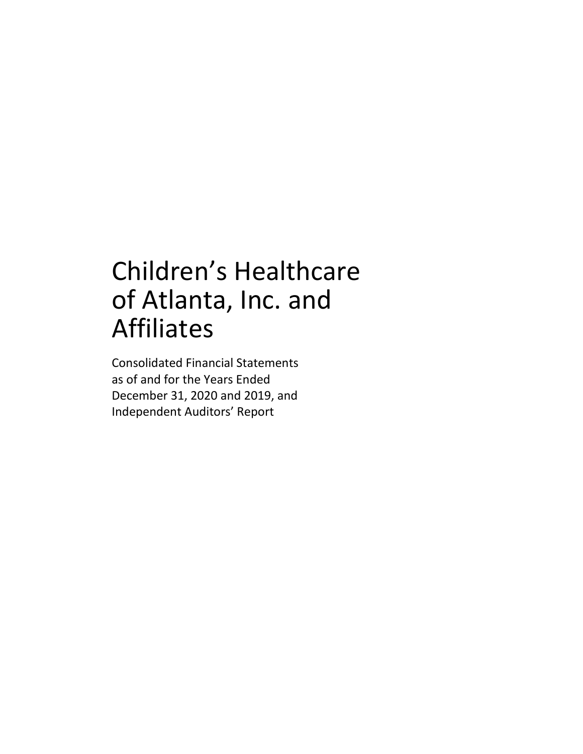## Children's Healthcare of Atlanta, Inc. and Affiliates

Consolidated Financial Statements as of and for the Years Ended December 31, 2020 and 2019, and Independent Auditors' Report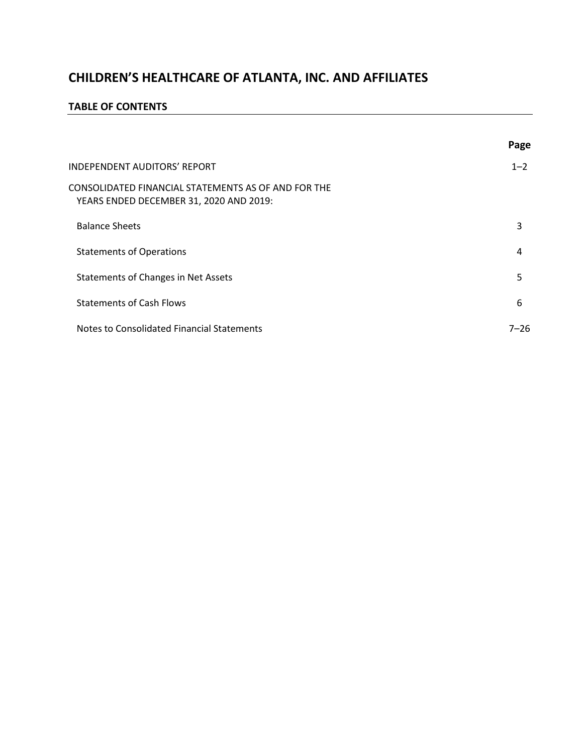#### **TABLE OF CONTENTS**

|                                                                                                | Page    |
|------------------------------------------------------------------------------------------------|---------|
| <b>INDEPENDENT AUDITORS' REPORT</b>                                                            | $1 - 2$ |
| CONSOLIDATED FINANCIAL STATEMENTS AS OF AND FOR THE<br>YEARS ENDED DECEMBER 31, 2020 AND 2019: |         |
| <b>Balance Sheets</b>                                                                          | 3       |
| <b>Statements of Operations</b>                                                                | 4       |
| Statements of Changes in Net Assets                                                            | 5       |
| <b>Statements of Cash Flows</b>                                                                | 6       |
| Notes to Consolidated Financial Statements                                                     | 7–26    |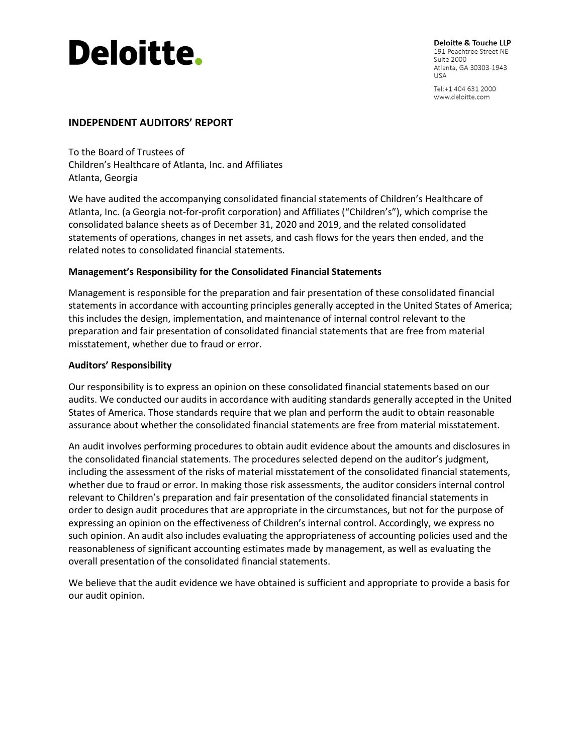# **Deloitte.**

Deloitte & Touche LLP 191 Peachtree Street NE Suite 2000 Atlanta, GA 30303-1943 **USA** 

Tel: +1 404 631 2000 www.deloitte.com

#### **INDEPENDENT AUDITORS' REPORT**

To the Board of Trustees of Children's Healthcare of Atlanta, Inc. and Affiliates Atlanta, Georgia

We have audited the accompanying consolidated financial statements of Children's Healthcare of Atlanta, Inc. (a Georgia not-for-profit corporation) and Affiliates ("Children's"), which comprise the consolidated balance sheets as of December 31, 2020 and 2019, and the related consolidated statements of operations, changes in net assets, and cash flows for the years then ended, and the related notes to consolidated financial statements.

#### **Management's Responsibility for the Consolidated Financial Statements**

Management is responsible for the preparation and fair presentation of these consolidated financial statements in accordance with accounting principles generally accepted in the United States of America; this includes the design, implementation, and maintenance of internal control relevant to the preparation and fair presentation of consolidated financial statements that are free from material misstatement, whether due to fraud or error.

#### **Auditors' Responsibility**

Our responsibility is to express an opinion on these consolidated financial statements based on our audits. We conducted our audits in accordance with auditing standards generally accepted in the United States of America. Those standards require that we plan and perform the audit to obtain reasonable assurance about whether the consolidated financial statements are free from material misstatement.

An audit involves performing procedures to obtain audit evidence about the amounts and disclosures in the consolidated financial statements. The procedures selected depend on the auditor's judgment, including the assessment of the risks of material misstatement of the consolidated financial statements, whether due to fraud or error. In making those risk assessments, the auditor considers internal control relevant to Children's preparation and fair presentation of the consolidated financial statements in order to design audit procedures that are appropriate in the circumstances, but not for the purpose of expressing an opinion on the effectiveness of Children's internal control. Accordingly, we express no such opinion. An audit also includes evaluating the appropriateness of accounting policies used and the reasonableness of significant accounting estimates made by management, as well as evaluating the overall presentation of the consolidated financial statements.

We believe that the audit evidence we have obtained is sufficient and appropriate to provide a basis for our audit opinion.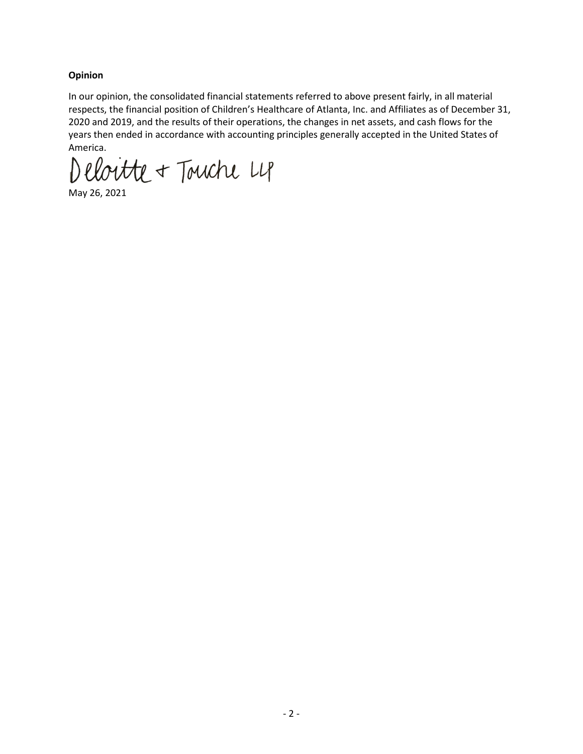#### **Opinion**

In our opinion, the consolidated financial statements referred to above present fairly, in all material respects, the financial position of Children's Healthcare of Atlanta, Inc. and Affiliates as of December 31, 2020 and 2019, and the results of their operations, the changes in net assets, and cash flows for the years then ended in accordance with accounting principles generally accepted in the United States of America.

Deloitte + Touche L4

May 26, 2021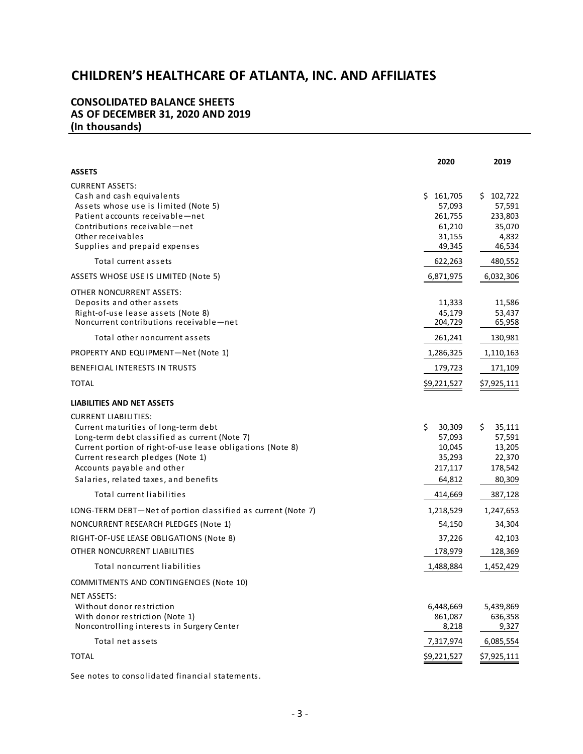#### **CONSOLIDATED BALANCE SHEETS AS OF DECEMBER 31, 2020 AND 2019 (In thousands)**

|                                                                                                             | 2020              | 2019              |
|-------------------------------------------------------------------------------------------------------------|-------------------|-------------------|
| <b>ASSETS</b>                                                                                               |                   |                   |
| <b>CURRENT ASSETS:</b><br>Cash and cash equivalents                                                         | \$161,705         | \$102,722         |
| Assets whose use is limited (Note 5)<br>Patient accounts receivable-net                                     | 57,093<br>261,755 | 57,591<br>233,803 |
| Contributions receivable-net                                                                                | 61,210            | 35,070            |
| Other receivables                                                                                           | 31,155            | 4,832             |
| Supplies and prepaid expenses                                                                               | 49,345            | 46,534            |
| Total current assets                                                                                        | 622,263           | 480,552           |
| <b>ASSETS WHOSE USE IS LIMITED (Note 5)</b>                                                                 | 6,871,975         | 6,032,306         |
| OTHER NONCURRENT ASSETS:                                                                                    |                   |                   |
| Deposits and other assets                                                                                   | 11,333            | 11,586            |
| Right-of-use lease assets (Note 8)<br>Noncurrent contributions receivable-net                               | 45,179<br>204,729 | 53,437<br>65,958  |
| Total other noncurrent assets                                                                               | 261,241           | 130,981           |
| PROPERTY AND EQUIPMENT-Net (Note 1)                                                                         | 1,286,325         | 1,110,163         |
| BENEFICIAL INTERESTS IN TRUSTS                                                                              | 179,723           | 171,109           |
| <b>TOTAL</b>                                                                                                |                   |                   |
|                                                                                                             | \$9,221,527       | \$7,925,111       |
| LIABILITIES AND NET ASSETS                                                                                  |                   |                   |
| <b>CURRENT LIABILITIES:</b>                                                                                 |                   |                   |
| Current maturities of long-term debt                                                                        | \$<br>30,309      | \$<br>35,111      |
| Long-term debt classified as current (Note 7)<br>Current portion of right-of-use lease obligations (Note 8) | 57,093<br>10,045  | 57,591<br>13,205  |
| Current research pledges (Note 1)                                                                           | 35,293            | 22,370            |
| Accounts payable and other                                                                                  | 217,117           | 178,542           |
| Salaries, related taxes, and benefits                                                                       | 64,812            | 80,309            |
| Total current liabilities                                                                                   | 414,669           | 387,128           |
| LONG-TERM DEBT-Net of portion classified as current (Note 7)                                                | 1,218,529         | 1,247,653         |
| NONCURRENT RESEARCH PLEDGES (Note 1)                                                                        | 54,150            | 34,304            |
| RIGHT-OF-USE LEASE OBLIGATIONS (Note 8)                                                                     | 37,226            | 42,103            |
| OTHER NONCURRENT LIABILITIES                                                                                | 178,979           | 128,369           |
| Total noncurrent liabilities                                                                                | 1,488,884         | 1,452,429         |
| COMMITMENTS AND CONTINGENCIES (Note 10)                                                                     |                   |                   |
| <b>NET ASSETS:</b>                                                                                          |                   |                   |
| Without donor restriction                                                                                   | 6,448,669         | 5,439,869         |
| With donor restriction (Note 1)<br>Noncontrolling interests in Surgery Center                               | 861,087<br>8,218  | 636,358<br>9,327  |
| Total net assets                                                                                            | 7,317,974         | 6,085,554         |
|                                                                                                             |                   |                   |
| <b>TOTAL</b>                                                                                                | \$9,221,527       | \$7,925,111       |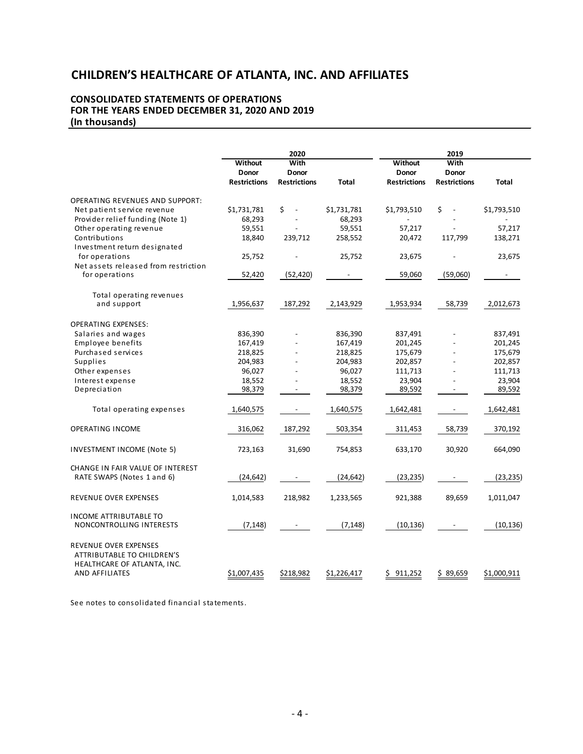#### **CONSOLIDATED STATEMENTS OF OPERATIONS FOR THE YEARS ENDED DECEMBER 31, 2020 AND 2019 (In thousands)**

|                                                                                                      |                                         | 2020                                 |                          |                                                | 2019                                 |             |
|------------------------------------------------------------------------------------------------------|-----------------------------------------|--------------------------------------|--------------------------|------------------------------------------------|--------------------------------------|-------------|
|                                                                                                      | Without<br>Donor<br><b>Restrictions</b> | With<br>Donor<br><b>Restrictions</b> | Total                    | <b>Without</b><br>Donor<br><b>Restrictions</b> | With<br>Donor<br><b>Restrictions</b> | Total       |
| <b>OPERATING REVENUES AND SUPPORT:</b>                                                               |                                         |                                      |                          |                                                |                                      |             |
| Net patient service revenue                                                                          | \$1,731,781                             | \$<br>$\overline{\phantom{a}}$       | \$1,731,781              | \$1,793,510                                    | \$<br>$\overline{\phantom{a}}$       | \$1,793,510 |
| Provider relief funding (Note 1)                                                                     | 68,293                                  |                                      | 68,293                   |                                                |                                      |             |
| Other operating revenue                                                                              | 59,551                                  |                                      | 59,551                   | 57,217                                         |                                      | 57,217      |
| Contributions                                                                                        | 18,840                                  | 239,712                              | 258,552                  | 20,472                                         | 117,799                              | 138,271     |
| Investment return designated                                                                         |                                         |                                      |                          |                                                |                                      |             |
| for operations                                                                                       | 25,752                                  |                                      | 25,752                   | 23,675                                         |                                      | 23,675      |
| Net assets released from restriction                                                                 |                                         |                                      |                          |                                                |                                      |             |
| for operations                                                                                       | 52,420                                  | (52, 420)                            | $\overline{\phantom{a}}$ | 59,060                                         | (59,060)                             |             |
| Total operating revenues                                                                             |                                         |                                      |                          |                                                |                                      |             |
| and support                                                                                          | 1,956,637                               | 187,292                              | 2,143,929                | 1,953,934                                      | 58,739                               | 2,012,673   |
| <b>OPERATING EXPENSES:</b>                                                                           |                                         |                                      |                          |                                                |                                      |             |
| Salaries and wages                                                                                   | 836,390                                 |                                      | 836,390                  | 837,491                                        |                                      | 837,491     |
| Employee benefits                                                                                    | 167,419                                 |                                      | 167,419                  | 201,245                                        |                                      | 201,245     |
| Purchased services                                                                                   | 218,825                                 | $\blacksquare$                       | 218,825                  | 175,679                                        |                                      | 175,679     |
| Supplies                                                                                             | 204,983                                 | $\overline{a}$                       | 204,983                  | 202,857                                        |                                      | 202,857     |
| Other expenses                                                                                       | 96,027                                  | $\overline{\phantom{a}}$             | 96,027                   | 111,713                                        |                                      | 111,713     |
| Interest expense                                                                                     | 18,552                                  |                                      | 18,552                   | 23,904                                         |                                      | 23,904      |
| Depreciation                                                                                         | 98,379                                  | $\overline{a}$                       | 98,379                   | 89,592                                         |                                      | 89,592      |
| Total operating expenses                                                                             | 1,640,575                               |                                      | 1,640,575                | 1,642,481                                      | $\overline{\phantom{a}}$             | 1,642,481   |
| <b>OPERATING INCOME</b>                                                                              | 316,062                                 | 187,292                              | 503,354                  | 311,453                                        | 58,739                               | 370,192     |
| INVESTMENT INCOME (Note 5)                                                                           | 723,163                                 | 31,690                               | 754,853                  | 633,170                                        | 30,920                               | 664,090     |
| CHANGE IN FAIR VALUE OF INTEREST<br>RATE SWAPS (Notes 1 and 6)                                       | (24, 642)                               |                                      | (24, 642)                | (23, 235)                                      | $\overline{\phantom{a}}$             | (23, 235)   |
| <b>REVENUE OVER EXPENSES</b>                                                                         | 1,014,583                               | 218,982                              | 1,233,565                | 921,388                                        | 89,659                               | 1,011,047   |
| <b>INCOME ATTRIBUTABLE TO</b><br>NONCONTROLLING INTERESTS                                            | (7, 148)                                |                                      | (7, 148)                 | (10, 136)                                      |                                      | (10, 136)   |
| REVENUE OVER EXPENSES<br>ATTRIBUTABLE TO CHILDREN'S<br>HEALTHCARE OF ATLANTA, INC.<br>AND AFFILIATES | \$1,007,435                             | \$218,982                            | \$1,226,417              | 911,252<br>S.                                  | \$89,659                             | \$1,000,911 |
|                                                                                                      |                                         |                                      |                          |                                                |                                      |             |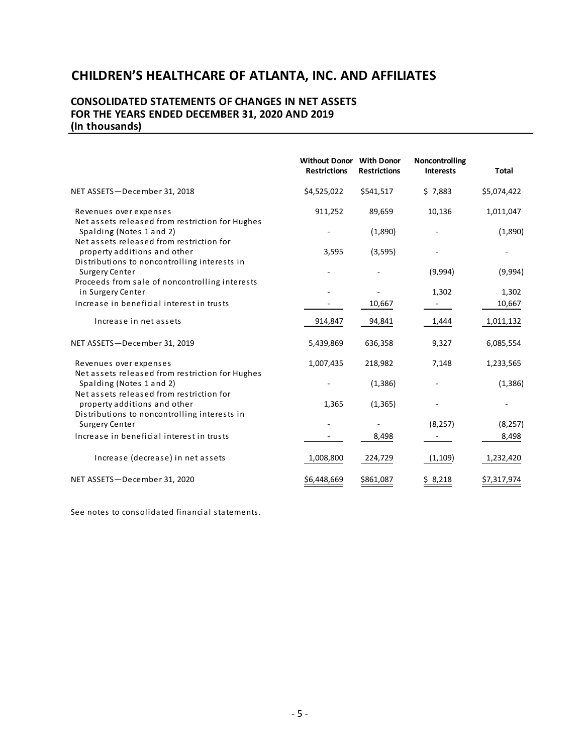#### **CONSOLIDATED STATEMENTS OF CHANGES IN NET ASSETS FOR THE YEARS ENDED DECEMBER 31, 2020 AND 2019 (In thousands)**

|                                                                              | <b>Without Donor</b> With Donor<br><b>Restrictions</b> | <b>Restrictions</b> | Noncontrolling<br><b>Interests</b> | <b>Total</b> |
|------------------------------------------------------------------------------|--------------------------------------------------------|---------------------|------------------------------------|--------------|
| NET ASSETS-December 31, 2018                                                 | \$4,525,022                                            | \$541,517           | \$7,883                            | \$5,074,422  |
| Revenues over expenses<br>Net assets released from restriction for Hughes    | 911,252                                                | 89,659              | 10,136                             | 1,011,047    |
| Spalding (Notes 1 and 2)<br>Net assets released from restriction for         |                                                        | (1,890)             |                                    | (1,890)      |
| property additions and other<br>Distributions to noncontrolling interests in | 3,595                                                  | (3, 595)            |                                    |              |
| Surgery Center<br>Proceeds from sale of noncontrolling interests             |                                                        |                     | (9,994)                            | (9,994)      |
| in Surgery Center                                                            |                                                        |                     | 1,302                              | 1,302        |
| Increase in beneficial interest in trusts                                    |                                                        | 10,667              |                                    | 10,667       |
| Increase in net assets                                                       | 914,847                                                | 94,841              | 1,444                              | 1,011,132    |
| NET ASSETS-December 31, 2019                                                 | 5,439,869                                              | 636,358             | 9,327                              | 6,085,554    |
| Revenues over expenses<br>Net assets released from restriction for Hughes    | 1,007,435                                              | 218,982             | 7,148                              | 1,233,565    |
| Spalding (Notes 1 and 2)<br>Net assets released from restriction for         |                                                        | (1, 386)            |                                    | (1, 386)     |
| property additions and other<br>Distributions to noncontrolling interests in | 1,365                                                  | (1, 365)            |                                    |              |
| Surgery Center                                                               |                                                        |                     | (8, 257)                           | (8, 257)     |
| Increase in beneficial interest in trusts                                    |                                                        | 8,498               |                                    | 8,498        |
| Increase (decrease) in net assets                                            | 1,008,800                                              | 224,729             | (1, 109)                           | 1,232,420    |
| NET ASSETS-December 31, 2020                                                 | \$6,448,669                                            | \$861,087           | \$ 8,218                           | \$7,317,974  |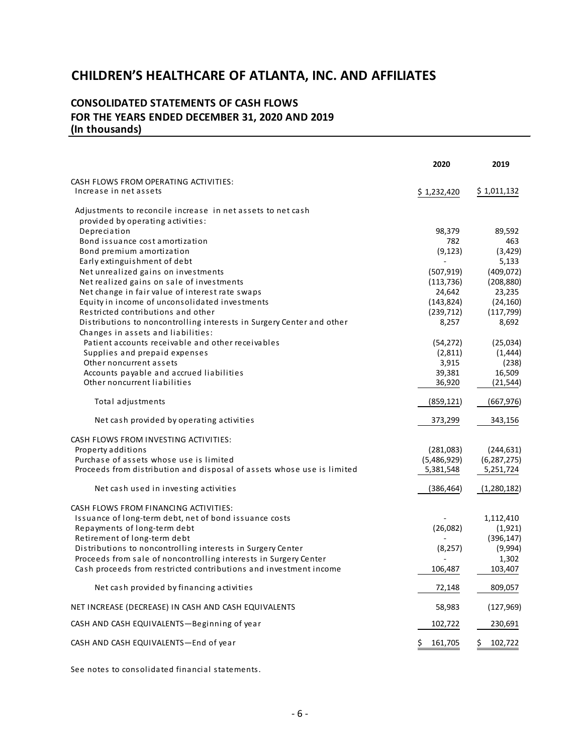#### **CONSOLIDATED STATEMENTS OF CASH FLOWS FOR THE YEARS ENDED DECEMBER 31, 2020 AND 2019 (In thousands)**

|                                                                          | 2020             | 2019                |
|--------------------------------------------------------------------------|------------------|---------------------|
| CASH FLOWS FROM OPERATING ACTIVITIES:                                    |                  |                     |
| Increase in net assets                                                   | \$1,232,420      | \$1,011,132         |
| Adjustments to reconcile increase in net assets to net cash              |                  |                     |
| provided by operating activities:                                        |                  |                     |
| Depreciation                                                             | 98,379           | 89,592              |
| Bond issuance cost amortization                                          | 782              | 463                 |
| Bond premium amortization                                                | (9, 123)         | (3, 429)            |
| Early extinguishment of debt                                             |                  | 5,133               |
| Net unrealized gains on investments                                      | (507, 919)       | (409, 072)          |
| Net realized gains on sale of investments                                | (113, 736)       | (208, 880)          |
| Net change in fair value of interest rate swaps                          | 24,642           | 23,235              |
| Equity in income of unconsolidated investments                           | (143, 824)       | (24, 160)           |
| Restricted contributions and other                                       | (239, 712)       | (117, 799)          |
| Distributions to noncontrolling interests in Surgery Center and other    | 8,257            | 8,692               |
| Changes in assets and liabilities:                                       |                  |                     |
| Patient accounts receivable and other receivables                        | (54, 272)        | (25,034)            |
| Supplies and prepaid expenses                                            | (2,811)          | (1, 444)            |
| Other noncurrent assets                                                  | 3,915            | (238)               |
| Accounts payable and accrued liabilities<br>Other noncurrent liabilities | 39,381<br>36,920 | 16,509<br>(21, 544) |
|                                                                          |                  |                     |
| Total adjustments                                                        | (859, 121)       | (667, 976)          |
| Net cash provided by operating activities                                | 373,299          | 343,156             |
| CASH FLOWS FROM INVESTING ACTIVITIES:                                    |                  |                     |
| Property additions                                                       | (281,083)        | (244, 631)          |
| Purchase of assets whose use is limited                                  | (5,486,929)      | (6, 287, 275)       |
| Proceeds from distribution and disposal of assets whose use is limited   | 5,381,548        | 5,251,724           |
| Net cash used in investing activities                                    | (386, 464)       | (1,280,182)         |
| CASH FLOWS FROM FINANCING ACTIVITIES:                                    |                  |                     |
| Issuance of long-term debt, net of bond issuance costs                   |                  | 1,112,410           |
| Repayments of long-term debt                                             | (26,082)         | (1,921)             |
| Retirement of long-term debt                                             |                  | (396, 147)          |
| Distributions to noncontrolling interests in Surgery Center              | (8, 257)         | (9,994)             |
| Proceeds from sale of noncontrolling interests in Surgery Center         |                  | 1,302               |
| Cash proceeds from restricted contributions and investment income        | 106,487          | 103,407             |
| Net cash provided by financing activities                                | 72,148           | 809,057             |
| NET INCREASE (DECREASE) IN CASH AND CASH EQUIVALENTS                     | 58,983           | (127, 969)          |
| CASH AND CASH EQUIVALENTS-Beginning of year                              | 102,722          | 230,691             |
| CASH AND CASH EQUIVALENTS-End of year                                    | \$.<br>161,705   | \$.<br>102,722      |
|                                                                          |                  |                     |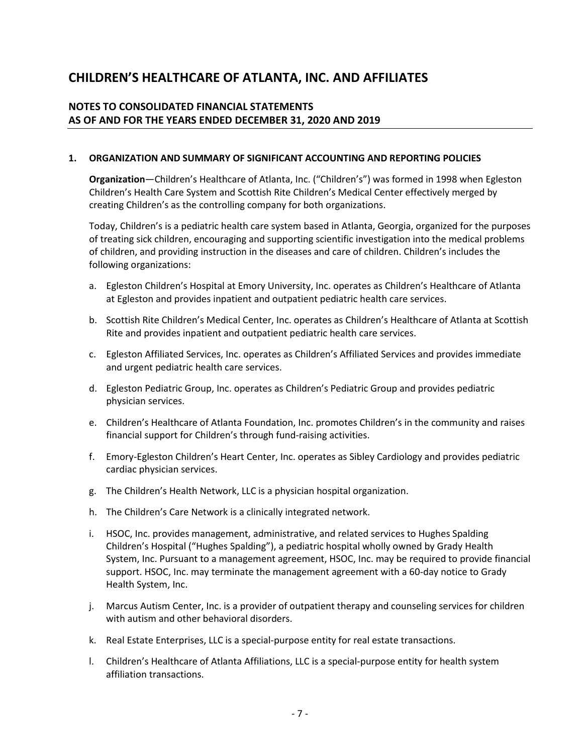#### **NOTES TO CONSOLIDATED FINANCIAL STATEMENTS AS OF AND FOR THE YEARS ENDED DECEMBER 31, 2020 AND 2019**

#### **1. ORGANIZATION AND SUMMARY OF SIGNIFICANT ACCOUNTING AND REPORTING POLICIES**

**Organization**—Children's Healthcare of Atlanta, Inc. ("Children's") was formed in 1998 when Egleston Children's Health Care System and Scottish Rite Children's Medical Center effectively merged by creating Children's as the controlling company for both organizations.

Today, Children's is a pediatric health care system based in Atlanta, Georgia, organized for the purposes of treating sick children, encouraging and supporting scientific investigation into the medical problems of children, and providing instruction in the diseases and care of children. Children's includes the following organizations:

- a. Egleston Children's Hospital at Emory University, Inc. operates as Children's Healthcare of Atlanta at Egleston and provides inpatient and outpatient pediatric health care services.
- b. Scottish Rite Children's Medical Center, Inc. operates as Children's Healthcare of Atlanta at Scottish Rite and provides inpatient and outpatient pediatric health care services.
- c. Egleston Affiliated Services, Inc. operates as Children's Affiliated Services and provides immediate and urgent pediatric health care services.
- d. Egleston Pediatric Group, Inc. operates as Children's Pediatric Group and provides pediatric physician services.
- e. Children's Healthcare of Atlanta Foundation, Inc. promotes Children's in the community and raises financial support for Children's through fund-raising activities.
- f. Emory-Egleston Children's Heart Center, Inc. operates as Sibley Cardiology and provides pediatric cardiac physician services.
- g. The Children's Health Network, LLC is a physician hospital organization.
- h. The Children's Care Network is a clinically integrated network.
- i. HSOC, Inc. provides management, administrative, and related services to Hughes Spalding Children's Hospital ("Hughes Spalding"), a pediatric hospital wholly owned by Grady Health System, Inc. Pursuant to a management agreement, HSOC, Inc. may be required to provide financial support. HSOC, Inc. may terminate the management agreement with a 60-day notice to Grady Health System, Inc.
- j. Marcus Autism Center, Inc. is a provider of outpatient therapy and counseling services for children with autism and other behavioral disorders.
- k. Real Estate Enterprises, LLC is a special-purpose entity for real estate transactions.
- l. Children's Healthcare of Atlanta Affiliations, LLC is a special-purpose entity for health system affiliation transactions.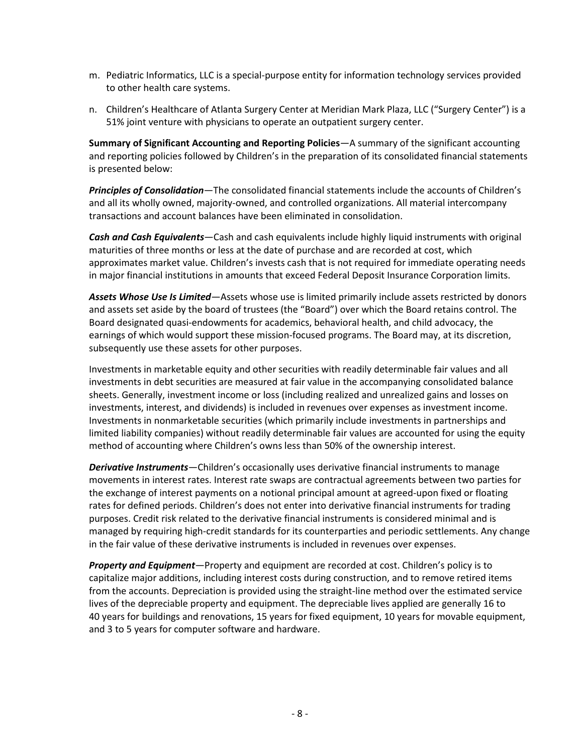- m. Pediatric Informatics, LLC is a special-purpose entity for information technology services provided to other health care systems.
- n. Children's Healthcare of Atlanta Surgery Center at Meridian Mark Plaza, LLC ("Surgery Center") is a 51% joint venture with physicians to operate an outpatient surgery center.

**Summary of Significant Accounting and Reporting Policies**—A summary of the significant accounting and reporting policies followed by Children's in the preparation of its consolidated financial statements is presented below:

*Principles of Consolidation*—The consolidated financial statements include the accounts of Children's and all its wholly owned, majority-owned, and controlled organizations. All material intercompany transactions and account balances have been eliminated in consolidation.

*Cash and Cash Equivalents*—Cash and cash equivalents include highly liquid instruments with original maturities of three months or less at the date of purchase and are recorded at cost, which approximates market value. Children's invests cash that is not required for immediate operating needs in major financial institutions in amounts that exceed Federal Deposit Insurance Corporation limits.

*Assets Whose Use Is Limited*—Assets whose use is limited primarily include assets restricted by donors and assets set aside by the board of trustees (the "Board") over which the Board retains control. The Board designated quasi-endowments for academics, behavioral health, and child advocacy, the earnings of which would support these mission-focused programs. The Board may, at its discretion, subsequently use these assets for other purposes.

Investments in marketable equity and other securities with readily determinable fair values and all investments in debt securities are measured at fair value in the accompanying consolidated balance sheets. Generally, investment income or loss (including realized and unrealized gains and losses on investments, interest, and dividends) is included in revenues over expenses as investment income. Investments in nonmarketable securities (which primarily include investments in partnerships and limited liability companies) without readily determinable fair values are accounted for using the equity method of accounting where Children's owns less than 50% of the ownership interest.

*Derivative Instruments*—Children's occasionally uses derivative financial instruments to manage movements in interest rates. Interest rate swaps are contractual agreements between two parties for the exchange of interest payments on a notional principal amount at agreed-upon fixed or floating rates for defined periods. Children's does not enter into derivative financial instruments for trading purposes. Credit risk related to the derivative financial instruments is considered minimal and is managed by requiring high-credit standards for its counterparties and periodic settlements. Any change in the fair value of these derivative instruments is included in revenues over expenses.

*Property and Equipment*—Property and equipment are recorded at cost. Children's policy is to capitalize major additions, including interest costs during construction, and to remove retired items from the accounts. Depreciation is provided using the straight-line method over the estimated service lives of the depreciable property and equipment. The depreciable lives applied are generally 16 to 40 years for buildings and renovations, 15 years for fixed equipment, 10 years for movable equipment, and 3 to 5 years for computer software and hardware.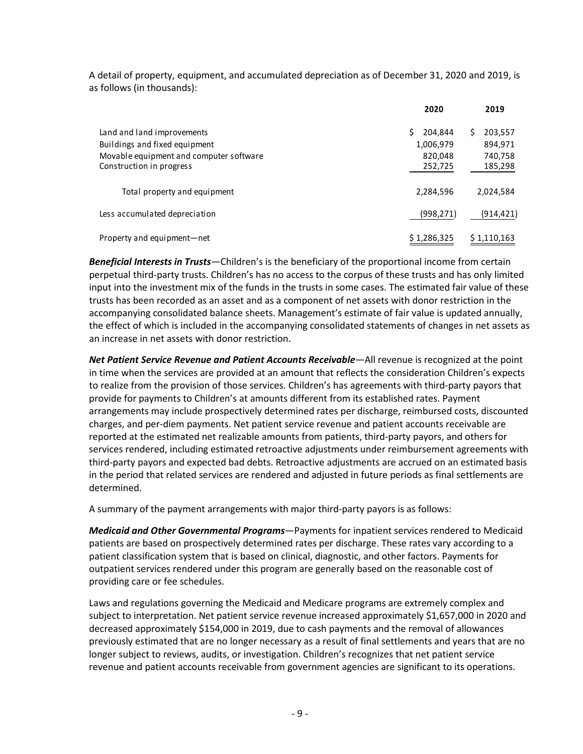A detail of property, equipment, and accumulated depreciation as of December 31, 2020 and 2019, is as follows (in thousands):

|                                         | 2020          | 2019         |
|-----------------------------------------|---------------|--------------|
| Land and land improvements              | Ś.<br>204.844 | 203,557<br>S |
| Buildings and fixed equipment           | 1,006,979     | 894,971      |
| Movable equipment and computer software | 820,048       | 740,758      |
| Construction in progress                | 252,725       | 185,298      |
| Total property and equipment            | 2,284,596     | 2,024,584    |
| Less accumulated depreciation           | (998, 271)    | (914,421)    |
| Property and equipment—net              | \$1,286,325   | \$1,110,163  |

*Beneficial Interests in Trusts*—Children's is the beneficiary of the proportional income from certain perpetual third-party trusts. Children's has no access to the corpus of these trusts and has only limited input into the investment mix of the funds in the trusts in some cases. The estimated fair value of these trusts has been recorded as an asset and as a component of net assets with donor restriction in the accompanying consolidated balance sheets. Management's estimate of fair value is updated annually, the effect of which is included in the accompanying consolidated statements of changes in net assets as an increase in net assets with donor restriction.

Net Patient Service Revenue and Patient Accounts Receivable-All revenue is recognized at the point in time when the services are provided at an amount that reflects the consideration Children's expects to realize from the provision of those services. Children's has agreements with third-party payors that provide for payments to Children's at amounts different from its established rates. Payment arrangements may include prospectively determined rates per discharge, reimbursed costs, discounted charges, and per-diem payments. Net patient service revenue and patient accounts receivable are reported at the estimated net realizable amounts from patients, third-party payors, and others for services rendered, including estimated retroactive adjustments under reimbursement agreements with third-party payors and expected bad debts. Retroactive adjustments are accrued on an estimated basis in the period that related services are rendered and adjusted in future periods as final settlements are determined.

A summary of the payment arrangements with major third-party payors is as follows:

*Medicaid and Other Governmental Programs*—Payments for inpatient services rendered to Medicaid patients are based on prospectively determined rates per discharge. These rates vary according to a patient classification system that is based on clinical, diagnostic, and other factors. Payments for outpatient services rendered under this program are generally based on the reasonable cost of providing care or fee schedules.

Laws and regulations governing the Medicaid and Medicare programs are extremely complex and subject to interpretation. Net patient service revenue increased approximately \$1,657,000 in 2020 and decreased approximately \$154,000 in 2019, due to cash payments and the removal of allowances previously estimated that are no longer necessary as a result of final settlements and years that are no longer subject to reviews, audits, or investigation. Children's recognizes that net patient service revenue and patient accounts receivable from government agencies are significant to its operations.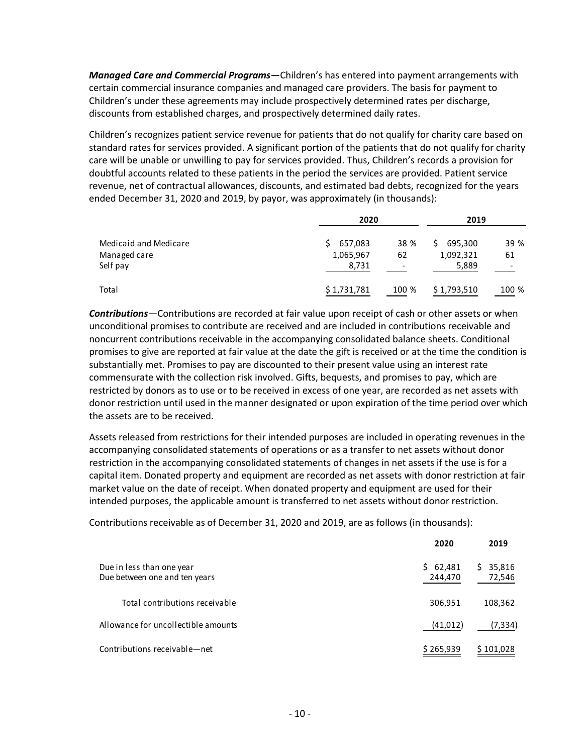*Managed Care and Commercial Programs*—Children's has entered into payment arrangements with certain commercial insurance companies and managed care providers. The basis for payment to Children's under these agreements may include prospectively determined rates per discharge, discounts from established charges, and prospectively determined daily rates.

Children's recognizes patient service revenue for patients that do not qualify for charity care based on standard rates for services provided. A significant portion of the patients that do not qualify for charity care will be unable or unwilling to pay for services provided. Thus, Children's records a provision for doubtful accounts related to these patients in the period the services are provided. Patient service revenue, net of contractual allowances, discounts, and estimated bad debts, recognized for the years ended December 31, 2020 and 2019, by payor, was approximately (in thousands):

|                                                   | 2020                          |                 | 2019                                |            |
|---------------------------------------------------|-------------------------------|-----------------|-------------------------------------|------------|
| Medicaid and Medicare<br>Managed care<br>Self pay | 657,083<br>1,065,967<br>8,731 | 38 %<br>62<br>- | 695,300<br>S.<br>1,092,321<br>5,889 | 39 %<br>61 |
| Total                                             | \$1,731,781                   | 100 %           | \$1,793,510                         | 100 %      |

*Contributions*—Contributions are recorded at fair value upon receipt of cash or other assets or when unconditional promises to contribute are received and are included in contributions receivable and noncurrent contributions receivable in the accompanying consolidated balance sheets. Conditional promises to give are reported at fair value at the date the gift is received or at the time the condition is substantially met. Promises to pay are discounted to their present value using an interest rate commensurate with the collection risk involved. Gifts, bequests, and promises to pay, which are restricted by donors as to use or to be received in excess of one year, are recorded as net assets with donor restriction until used in the manner designated or upon expiration of the time period over which the assets are to be received.

Assets released from restrictions for their intended purposes are included in operating revenues in the accompanying consolidated statements of operations or as a transfer to net assets without donor restriction in the accompanying consolidated statements of changes in net assets if the use is for a capital item. Donated property and equipment are recorded as net assets with donor restriction at fair market value on the date of receipt. When donated property and equipment are used for their intended purposes, the applicable amount is transferred to net assets without donor restriction.

Contributions receivable as of December 31, 2020 and 2019, are as follows (in thousands):

|                                                            | 2020                    | 2019                   |
|------------------------------------------------------------|-------------------------|------------------------|
| Due in less than one year<br>Due between one and ten years | 62,481<br>S.<br>244,470 | 35,816<br>S.<br>72,546 |
| Total contributions receivable                             | 306,951                 | 108,362                |
| Allowance for uncollectible amounts                        | (41, 012)               | (7,334)                |
| Contributions receivable-net                               | \$265,939               | \$101,028              |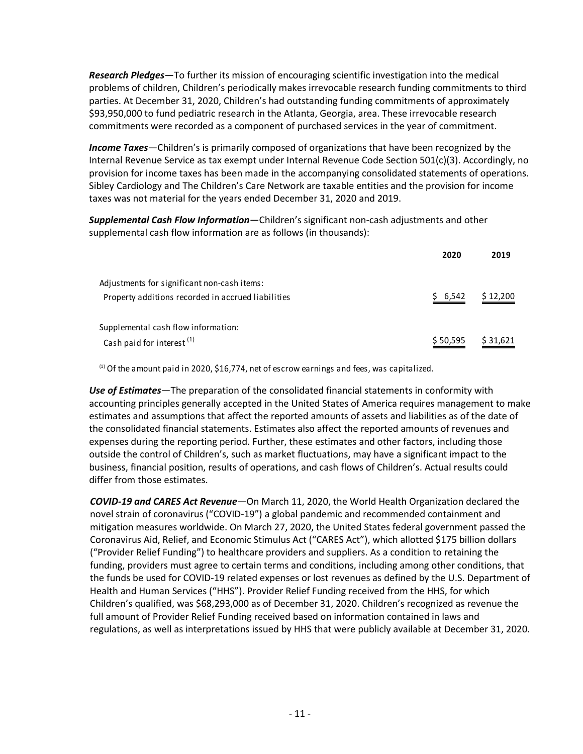*Research Pledges*—To further its mission of encouraging scientific investigation into the medical problems of children, Children's periodically makes irrevocable research funding commitments to third parties. At December 31, 2020, Children's had outstanding funding commitments of approximately \$93,950,000 to fund pediatric research in the Atlanta, Georgia, area. These irrevocable research commitments were recorded as a component of purchased services in the year of commitment.

*Income Taxes*—Children's is primarily composed of organizations that have been recognized by the Internal Revenue Service as tax exempt under Internal Revenue Code Section 501(c)(3). Accordingly, no provision for income taxes has been made in the accompanying consolidated statements of operations. Sibley Cardiology and The Children's Care Network are taxable entities and the provision for income taxes was not material for the years ended December 31, 2020 and 2019.

*Supplemental Cash Flow Information*—Children's significant non-cash adjustments and other supplemental cash flow information are as follows (in thousands):

|                                                    | 2020     | 2019     |
|----------------------------------------------------|----------|----------|
| Adjustments for significant non-cash items:        |          |          |
| Property additions recorded in accrued liabilities | \$6,542  | \$12,200 |
| Supplemental cash flow information:                |          |          |
| Cash paid for interest <sup>(1)</sup>              | \$50,595 | \$31,621 |

 $<sup>(1)</sup>$  Of the amount paid in 2020, \$16,774, net of escrow earnings and fees, was capitalized.</sup>

*Use of Estimates*—The preparation of the consolidated financial statements in conformity with accounting principles generally accepted in the United States of America requires management to make estimates and assumptions that affect the reported amounts of assets and liabilities as of the date of the consolidated financial statements. Estimates also affect the reported amounts of revenues and expenses during the reporting period. Further, these estimates and other factors, including those outside the control of Children's, such as market fluctuations, may have a significant impact to the business, financial position, results of operations, and cash flows of Children's. Actual results could differ from those estimates.

*COVID-19 and CARES Act Revenue*—On March 11, 2020, the World Health Organization declared the novel strain of coronavirus ("COVID-19") a global pandemic and recommended containment and mitigation measures worldwide. On March 27, 2020, the United States federal government passed the Coronavirus Aid, Relief, and Economic Stimulus Act ("CARES Act"), which allotted \$175 billion dollars ("Provider Relief Funding") to healthcare providers and suppliers. As a condition to retaining the funding, providers must agree to certain terms and conditions, including among other conditions, that the funds be used for COVID-19 related expenses or lost revenues as defined by the U.S. Department of Health and Human Services ("HHS"). Provider Relief Funding received from the HHS, for which Children's qualified, was \$68,293,000 as of December 31, 2020. Children's recognized as revenue the full amount of Provider Relief Funding received based on information contained in laws and regulations, as well as interpretations issued by HHS that were publicly available at December 31, 2020.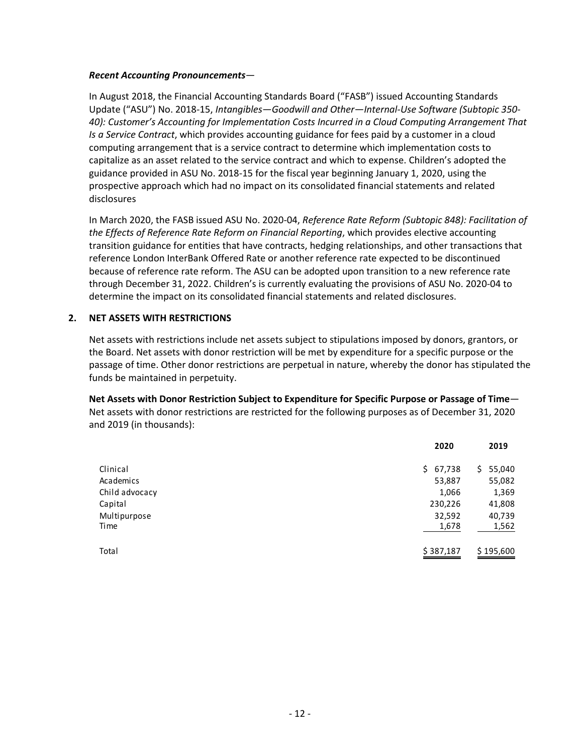#### *Recent Accounting Pronouncements*—

In August 2018, the Financial Accounting Standards Board ("FASB") issued Accounting Standards Update ("ASU") No. 2018-15, *Intangibles—Goodwill and Other—Internal-Use Software (Subtopic 350- 40): Customer's Accounting for Implementation Costs Incurred in a Cloud Computing Arrangement That Is a Service Contract*, which provides accounting guidance for fees paid by a customer in a cloud computing arrangement that is a service contract to determine which implementation costs to capitalize as an asset related to the service contract and which to expense. Children's adopted the guidance provided in ASU No. 2018-15 for the fiscal year beginning January 1, 2020, using the prospective approach which had no impact on its consolidated financial statements and related disclosures

In March 2020, the FASB issued ASU No. 2020-04, *Reference Rate Reform (Subtopic 848): Facilitation of the Effects of Reference Rate Reform on Financial Reporting*, which provides elective accounting transition guidance for entities that have contracts, hedging relationships, and other transactions that reference London InterBank Offered Rate or another reference rate expected to be discontinued because of reference rate reform. The ASU can be adopted upon transition to a new reference rate through December 31, 2022. Children's is currently evaluating the provisions of ASU No. 2020-04 to determine the impact on its consolidated financial statements and related disclosures.

#### **2. NET ASSETS WITH RESTRICTIONS**

Net assets with restrictions include net assets subject to stipulations imposed by donors, grantors, or the Board. Net assets with donor restriction will be met by expenditure for a specific purpose or the passage of time. Other donor restrictions are perpetual in nature, whereby the donor has stipulated the funds be maintained in perpetuity.

**Net Assets with Donor Restriction Subject to Expenditure for Specific Purpose or Passage of Time**— Net assets with donor restrictions are restricted for the following purposes as of December 31, 2020 and 2019 (in thousands):

|                | 2020         | 2019         |
|----------------|--------------|--------------|
| Clinical       | 67,738<br>\$ | 55,040<br>S. |
| Academics      | 53,887       | 55,082       |
| Child advocacy | 1,066        | 1,369        |
| Capital        | 230,226      | 41,808       |
| Multipurpose   | 32,592       | 40,739       |
| Time           | 1,678        | 1,562        |
| Total          | \$387,187    | \$195,600    |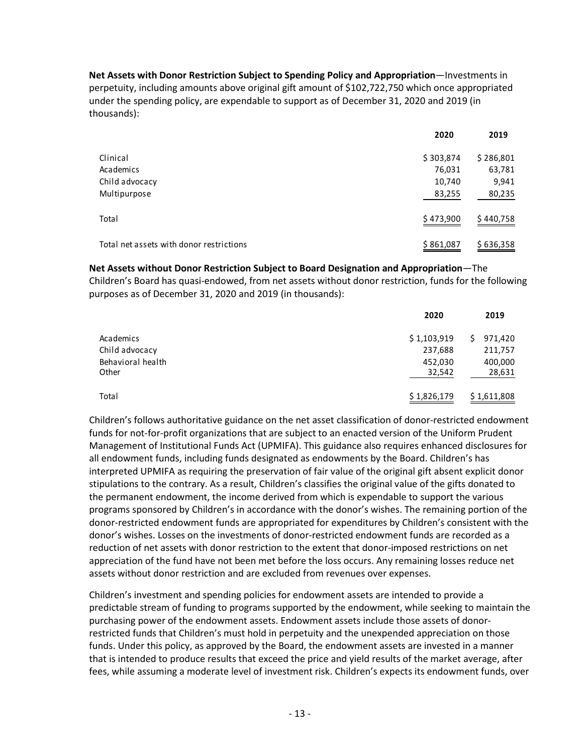**Net Assets with Donor Restriction Subject to Spending Policy and Appropriation**—Investments in perpetuity, including amounts above original gift amount of \$102,722,750 which once appropriated under the spending policy, are expendable to support as of December 31, 2020 and 2019 (in thousands):

|                                          | 2020      | 2019      |
|------------------------------------------|-----------|-----------|
| Clinical                                 | \$303,874 | \$286,801 |
| Academics                                | 76,031    | 63,781    |
| Child advocacy                           | 10,740    | 9,941     |
| Multipurpose                             | 83,255    | 80,235    |
| Total                                    | \$473,900 | \$440,758 |
| Total net assets with donor restrictions | \$861,087 | \$636,358 |

#### **Net Assets without Donor Restriction Subject to Board Designation and Appropriation**—The

Children's Board has quasi-endowed, from net assets without donor restriction, funds for the following purposes as of December 31, 2020 and 2019 (in thousands):

|                   | 2020        | 2019          |
|-------------------|-------------|---------------|
| Academics         | \$1,103,919 | 971,420<br>S. |
| Child advocacy    | 237,688     | 211,757       |
| Behavioral health | 452,030     | 400,000       |
| Other             | 32,542      | 28,631        |
| Total             | \$1,826,179 | \$1,611,808   |

Children's follows authoritative guidance on the net asset classification of donor-restricted endowment funds for not-for-profit organizations that are subject to an enacted version of the Uniform Prudent Management of Institutional Funds Act (UPMIFA). This guidance also requires enhanced disclosures for all endowment funds, including funds designated as endowments by the Board. Children's has interpreted UPMIFA as requiring the preservation of fair value of the original gift absent explicit donor stipulations to the contrary. As a result, Children's classifies the original value of the gifts donated to the permanent endowment, the income derived from which is expendable to support the various programs sponsored by Children's in accordance with the donor's wishes. The remaining portion of the donor-restricted endowment funds are appropriated for expenditures by Children's consistent with the donor's wishes. Losses on the investments of donor-restricted endowment funds are recorded as a reduction of net assets with donor restriction to the extent that donor-imposed restrictions on net appreciation of the fund have not been met before the loss occurs. Any remaining losses reduce net assets without donor restriction and are excluded from revenues over expenses.

Children's investment and spending policies for endowment assets are intended to provide a predictable stream of funding to programs supported by the endowment, while seeking to maintain the purchasing power of the endowment assets. Endowment assets include those assets of donorrestricted funds that Children's must hold in perpetuity and the unexpended appreciation on those funds. Under this policy, as approved by the Board, the endowment assets are invested in a manner that is intended to produce results that exceed the price and yield results of the market average, after fees, while assuming a moderate level of investment risk. Children's expects its endowment funds, over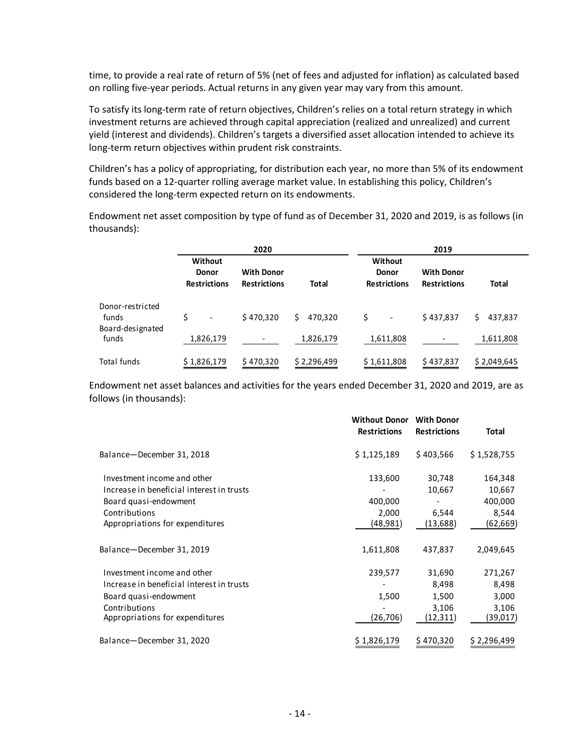time, to provide a real rate of return of 5% (net of fees and adjusted for inflation) as calculated based on rolling five-year periods. Actual returns in any given year may vary from this amount.

To satisfy its long-term rate of return objectives, Children's relies on a total return strategy in which investment returns are achieved through capital appreciation (realized and unrealized) and current yield (interest and dividends). Children's targets a diversified asset allocation intended to achieve its long-term return objectives within prudent risk constraints.

Children's has a policy of appropriating, for distribution each year, no more than 5% of its endowment funds based on a 12-quarter rolling average market value. In establishing this policy, Children's considered the long-term expected return on its endowments.

Endowment net asset composition by type of fund as of December 31, 2020 and 2019, is as follows (in thousands):

|                                               | 2020                                           |                                          |                | 2019                                           |                                          |               |  |
|-----------------------------------------------|------------------------------------------------|------------------------------------------|----------------|------------------------------------------------|------------------------------------------|---------------|--|
|                                               | Without<br><b>Donor</b><br><b>Restrictions</b> | <b>With Donor</b><br><b>Restrictions</b> | <b>Total</b>   | Without<br><b>Donor</b><br><b>Restrictions</b> | <b>With Donor</b><br><b>Restrictions</b> | Total         |  |
| Donor-restricted<br>funds<br>Board-designated | Ś<br>$\overline{\phantom{a}}$                  | \$470,320                                | 470.320<br>\$. | \$                                             | \$437,837                                | Ś.<br>437,837 |  |
| funds                                         | 1,826,179                                      |                                          | 1,826,179      | 1,611,808                                      |                                          | 1,611,808     |  |
| <b>Total funds</b>                            | \$1,826,179                                    | \$470,320                                | \$2,296,499    | \$1,611,808                                    | \$437,837                                | \$2,049,645   |  |

Endowment net asset balances and activities for the years ended December 31, 2020 and 2019, are as follows (in thousands):

|                                           | <b>Without Donor</b><br><b>Restrictions</b> | <b>With Donor</b><br><b>Restrictions</b> | Total       |
|-------------------------------------------|---------------------------------------------|------------------------------------------|-------------|
| Balance-December 31, 2018                 | \$1,125,189                                 | \$403,566                                | \$1,528,755 |
| Investment income and other               | 133,600                                     | 30,748                                   | 164,348     |
| Increase in beneficial interest in trusts |                                             | 10,667                                   | 10,667      |
| Board quasi-endowment                     | 400,000                                     |                                          | 400,000     |
| Contributions                             | 2,000                                       | 6,544                                    | 8,544       |
| Appropriations for expenditures           | (48, 981)                                   | (13, 688)                                | (62,669)    |
| Balance-December 31, 2019                 | 1,611,808                                   | 437,837                                  | 2,049,645   |
| Investment income and other               | 239,577                                     | 31,690                                   | 271,267     |
| Increase in beneficial interest in trusts |                                             | 8,498                                    | 8,498       |
| Board quasi-endowment                     | 1,500                                       | 1,500                                    | 3,000       |
| Contributions                             |                                             | 3,106                                    | 3,106       |
| Appropriations for expenditures           | (26,706)                                    | (12,311)                                 | (39,017)    |
| Balance-December 31, 2020                 | \$1,826,179                                 | \$470,320                                | \$2,296,499 |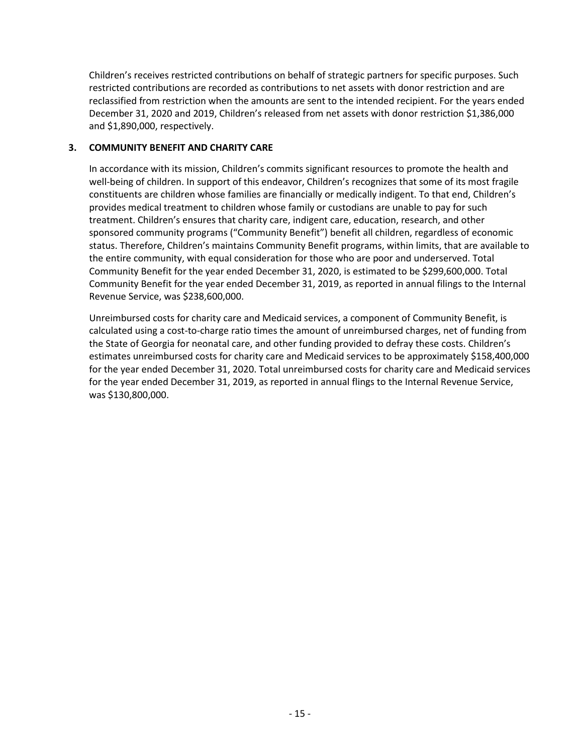Children's receives restricted contributions on behalf of strategic partners for specific purposes. Such restricted contributions are recorded as contributions to net assets with donor restriction and are reclassified from restriction when the amounts are sent to the intended recipient. For the years ended December 31, 2020 and 2019, Children's released from net assets with donor restriction \$1,386,000 and \$1,890,000, respectively.

#### **3. COMMUNITY BENEFIT AND CHARITY CARE**

In accordance with its mission, Children's commits significant resources to promote the health and well-being of children. In support of this endeavor, Children's recognizes that some of its most fragile constituents are children whose families are financially or medically indigent. To that end, Children's provides medical treatment to children whose family or custodians are unable to pay for such treatment. Children's ensures that charity care, indigent care, education, research, and other sponsored community programs ("Community Benefit") benefit all children, regardless of economic status. Therefore, Children's maintains Community Benefit programs, within limits, that are available to the entire community, with equal consideration for those who are poor and underserved. Total Community Benefit for the year ended December 31, 2020, is estimated to be \$299,600,000. Total Community Benefit for the year ended December 31, 2019, as reported in annual filings to the Internal Revenue Service, was \$238,600,000.

Unreimbursed costs for charity care and Medicaid services, a component of Community Benefit, is calculated using a cost-to-charge ratio times the amount of unreimbursed charges, net of funding from the State of Georgia for neonatal care, and other funding provided to defray these costs. Children's estimates unreimbursed costs for charity care and Medicaid services to be approximately \$158,400,000 for the year ended December 31, 2020. Total unreimbursed costs for charity care and Medicaid services for the year ended December 31, 2019, as reported in annual flings to the Internal Revenue Service, was \$130,800,000.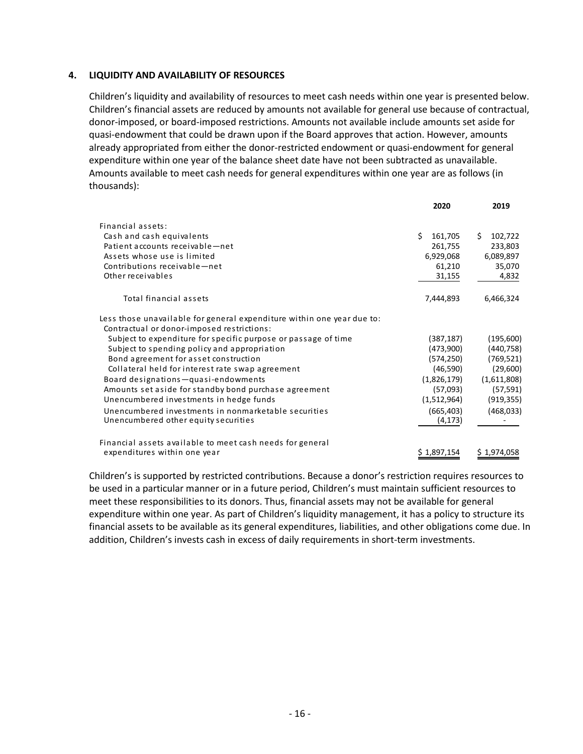#### **4. LIQUIDITY AND AVAILABILITY OF RESOURCES**

Children's liquidity and availability of resources to meet cash needs within one year is presented below. Children's financial assets are reduced by amounts not available for general use because of contractual, donor-imposed, or board-imposed restrictions. Amounts not available include amounts set aside for quasi-endowment that could be drawn upon if the Board approves that action. However, amounts already appropriated from either the donor-restricted endowment or quasi-endowment for general expenditure within one year of the balance sheet date have not been subtracted as unavailable. Amounts available to meet cash needs for general expenditures within one year are as follows (in thousands):

|                                                                        | 2020          | 2019          |
|------------------------------------------------------------------------|---------------|---------------|
| Financial assets:                                                      |               |               |
| Cash and cash equivalents                                              | Ś.<br>161,705 | Ś.<br>102,722 |
| Patient accounts receivable-net                                        | 261,755       | 233,803       |
| Assets whose use is limited                                            | 6,929,068     | 6,089,897     |
| Contributions receivable-net                                           | 61,210        | 35,070        |
| Other receivables                                                      | 31,155        | 4,832         |
| Total financial assets                                                 | 7,444,893     | 6,466,324     |
| Less those unavailable for general expenditure within one year due to: |               |               |
| Contractual or donor-imposed restrictions:                             |               |               |
| Subject to expenditure for specific purpose or passage of time         | (387, 187)    | (195,600)     |
| Subject to spending policy and appropriation                           | (473,900)     | (440, 758)    |
| Bond agreement for asset construction                                  | (574, 250)    | (769, 521)    |
| Collateral held for interest rate swap agreement                       | (46,590)      | (29,600)      |
| Board designations-quasi-endowments                                    | (1,826,179)   | (1,611,808)   |
| Amounts set aside for standby bond purchase agreement                  | (57,093)      | (57, 591)     |
| Unencumbered investments in hedge funds                                | (1,512,964)   | (919, 355)    |
| Unencumbered investments in nonmarketable securities                   | (665, 403)    | (468, 033)    |
| Unencumbered other equity securities                                   | (4, 173)      |               |
| Financial assets available to meet cash needs for general              |               |               |
| expenditures within one year                                           | \$1,897,154   | \$1,974,058   |

Children's is supported by restricted contributions. Because a donor's restriction requires resources to be used in a particular manner or in a future period, Children's must maintain sufficient resources to meet these responsibilities to its donors. Thus, financial assets may not be available for general expenditure within one year. As part of Children's liquidity management, it has a policy to structure its financial assets to be available as its general expenditures, liabilities, and other obligations come due. In addition, Children's invests cash in excess of daily requirements in short-term investments.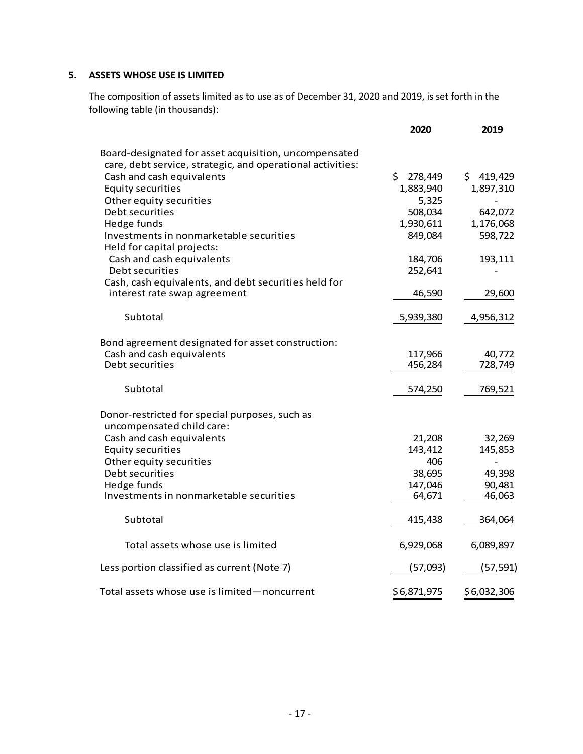#### **5. ASSETS WHOSE USE IS LIMITED**

The composition of assets limited as to use as of December 31, 2020 and 2019, is set forth in the following table (in thousands):

|                                                            | 2020          | 2019        |
|------------------------------------------------------------|---------------|-------------|
| Board-designated for asset acquisition, uncompensated      |               |             |
| care, debt service, strategic, and operational activities: |               |             |
| Cash and cash equivalents                                  | \$<br>278,449 | \$419,429   |
| <b>Equity securities</b>                                   | 1,883,940     | 1,897,310   |
| Other equity securities                                    | 5,325         |             |
| Debt securities                                            | 508,034       | 642,072     |
| Hedge funds                                                | 1,930,611     | 1,176,068   |
| Investments in nonmarketable securities                    | 849,084       | 598,722     |
| Held for capital projects:                                 |               |             |
| Cash and cash equivalents                                  | 184,706       | 193,111     |
| Debt securities                                            | 252,641       |             |
| Cash, cash equivalents, and debt securities held for       |               |             |
| interest rate swap agreement                               | 46,590        | 29,600      |
|                                                            |               |             |
| Subtotal                                                   | 5,939,380     | 4,956,312   |
|                                                            |               |             |
| Bond agreement designated for asset construction:          |               |             |
| Cash and cash equivalents                                  | 117,966       | 40,772      |
| Debt securities                                            | 456,284       | 728,749     |
|                                                            |               |             |
| Subtotal                                                   | 574,250       | 769,521     |
|                                                            |               |             |
| Donor-restricted for special purposes, such as             |               |             |
| uncompensated child care:                                  |               |             |
| Cash and cash equivalents                                  | 21,208        | 32,269      |
| <b>Equity securities</b>                                   | 143,412       | 145,853     |
| Other equity securities                                    | 406           |             |
| Debt securities                                            | 38,695        | 49,398      |
| Hedge funds                                                | 147,046       | 90,481      |
| Investments in nonmarketable securities                    | 64,671        | 46,063      |
|                                                            |               |             |
| Subtotal                                                   | 415,438       | 364,064     |
|                                                            |               |             |
| Total assets whose use is limited                          | 6,929,068     | 6,089,897   |
|                                                            |               |             |
| Less portion classified as current (Note 7)                | (57,093)      | (57, 591)   |
|                                                            |               |             |
| Total assets whose use is limited-noncurrent               | \$6,871,975   | \$6,032,306 |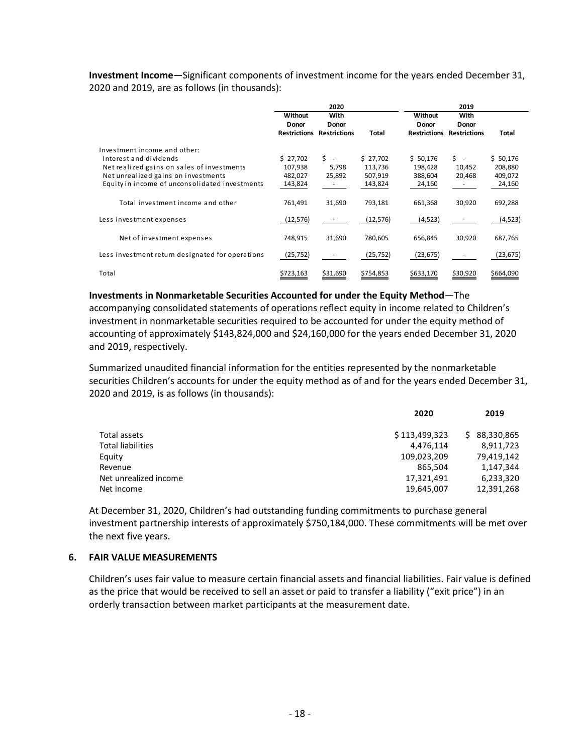**Investment Income**—Significant components of investment income for the years ended December 31, 2020 and 2019, are as follows (in thousands):

|                                                  | 2020                                           |                                      |           | 2019                                    |                                      |           |
|--------------------------------------------------|------------------------------------------------|--------------------------------------|-----------|-----------------------------------------|--------------------------------------|-----------|
|                                                  | Without<br><b>Donor</b><br><b>Restrictions</b> | With<br>Donor<br><b>Restrictions</b> | Total     | Without<br>Donor<br><b>Restrictions</b> | With<br>Donor<br><b>Restrictions</b> | Total     |
| Investment income and other:                     |                                                |                                      |           |                                         |                                      |           |
| Interest and dividends                           | \$27,702                                       | Ś.<br>$\sim$                         | \$27,702  | \$50,176                                | \$ -                                 | \$50,176  |
| Net realized gains on sales of investments       | 107,938                                        | 5,798                                | 113,736   | 198,428                                 | 10,452                               | 208,880   |
| Net unrealized gains on investments              | 482,027                                        | 25,892                               | 507,919   | 388,604                                 | 20,468                               | 409,072   |
| Equity in income of unconsolidated investments   | 143,824                                        |                                      | 143,824   | 24,160                                  |                                      | 24,160    |
| Total investment income and other                | 761,491                                        | 31,690                               | 793,181   | 661,368                                 | 30,920                               | 692,288   |
| Less investment expenses                         | (12, 576)                                      |                                      | (12, 576) | (4, 523)                                |                                      | (4, 523)  |
| Net of investment expenses                       | 748,915                                        | 31,690                               | 780,605   | 656,845                                 | 30,920                               | 687,765   |
| Less investment return designated for operations | (25, 752)                                      |                                      | (25, 752) | (23, 675)                               |                                      | (23, 675) |
| Total                                            | \$723,163                                      | \$31,690                             | \$754,853 | \$633,170                               | \$30,920                             | \$664,090 |

**Investments in Nonmarketable Securities Accounted for under the Equity Method**—The accompanying consolidated statements of operations reflect equity in income related to Children's investment in nonmarketable securities required to be accounted for under the equity method of accounting of approximately \$143,824,000 and \$24,160,000 for the years ended December 31, 2020 and 2019, respectively.

Summarized unaudited financial information for the entities represented by the nonmarketable securities Children's accounts for under the equity method as of and for the years ended December 31, 2020 and 2019, is as follows (in thousands):

|                       | 2020          | 2019         |
|-----------------------|---------------|--------------|
| Total assets          | \$113,499,323 | \$88,330,865 |
| Total liabilities     | 4,476,114     | 8,911,723    |
| Equity                | 109,023,209   | 79,419,142   |
| Revenue               | 865,504       | 1,147,344    |
| Net unrealized income | 17,321,491    | 6,233,320    |
| Net income            | 19,645,007    | 12,391,268   |
|                       |               |              |

At December 31, 2020, Children's had outstanding funding commitments to purchase general investment partnership interests of approximately \$750,184,000. These commitments will be met over the next five years.

#### **6. FAIR VALUE MEASUREMENTS**

Children's uses fair value to measure certain financial assets and financial liabilities. Fair value is defined as the price that would be received to sell an asset or paid to transfer a liability ("exit price") in an orderly transaction between market participants at the measurement date.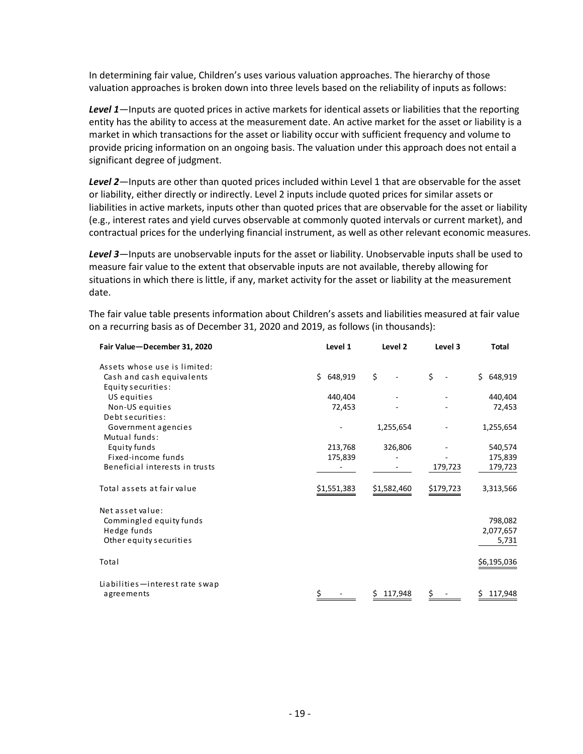In determining fair value, Children's uses various valuation approaches. The hierarchy of those valuation approaches is broken down into three levels based on the reliability of inputs as follows:

*Level 1*—Inputs are quoted prices in active markets for identical assets or liabilities that the reporting entity has the ability to access at the measurement date. An active market for the asset or liability is a market in which transactions for the asset or liability occur with sufficient frequency and volume to provide pricing information on an ongoing basis. The valuation under this approach does not entail a significant degree of judgment.

*Level 2*—Inputs are other than quoted prices included within Level 1 that are observable for the asset or liability, either directly or indirectly. Level 2 inputs include quoted prices for similar assets or liabilities in active markets, inputs other than quoted prices that are observable for the asset or liability (e.g., interest rates and yield curves observable at commonly quoted intervals or current market), and contractual prices for the underlying financial instrument, as well as other relevant economic measures.

*Level 3*—Inputs are unobservable inputs for the asset or liability. Unobservable inputs shall be used to measure fair value to the extent that observable inputs are not available, thereby allowing for situations in which there is little, if any, market activity for the asset or liability at the measurement date.

The fair value table presents information about Children's assets and liabilities measured at fair value on a recurring basis as of December 31, 2020 and 2019, as follows (in thousands):

| Fair Value-December 31, 2020     | Level 1       | Level 2     | Level 3   | Total         |
|----------------------------------|---------------|-------------|-----------|---------------|
| Assets whose use is limited:     |               |             |           |               |
| Cash and cash equivalents        | 648,919<br>Ś. | \$          | \$        | Ś.<br>648,919 |
| Equity securities:               |               |             |           |               |
| US equities                      | 440,404       |             |           | 440,404       |
| Non-US equities                  | 72,453        |             |           | 72,453        |
| Debt securities:                 |               |             |           |               |
| Government agencies              |               | 1,255,654   |           | 1,255,654     |
| Mutual funds:                    |               |             |           |               |
| Equity funds                     | 213,768       | 326,806     |           | 540,574       |
| Fixed-income funds               | 175,839       |             |           | 175,839       |
| Beneficial interests in trusts   |               |             | 179,723   | 179,723       |
| Total assets at fair value       | \$1,551,383   | \$1,582,460 | \$179,723 | 3,313,566     |
| Net asset value:                 |               |             |           |               |
| Commingled equity funds          |               |             |           | 798,082       |
| Hedge funds                      |               |             |           | 2,077,657     |
| Other equity securities          |               |             |           | 5,731         |
| Total                            |               |             |           | \$6,195,036   |
|                                  |               |             |           |               |
| Liabilities - interest rate swap |               |             |           |               |
| agreements                       |               | 117,948     |           | 117,948       |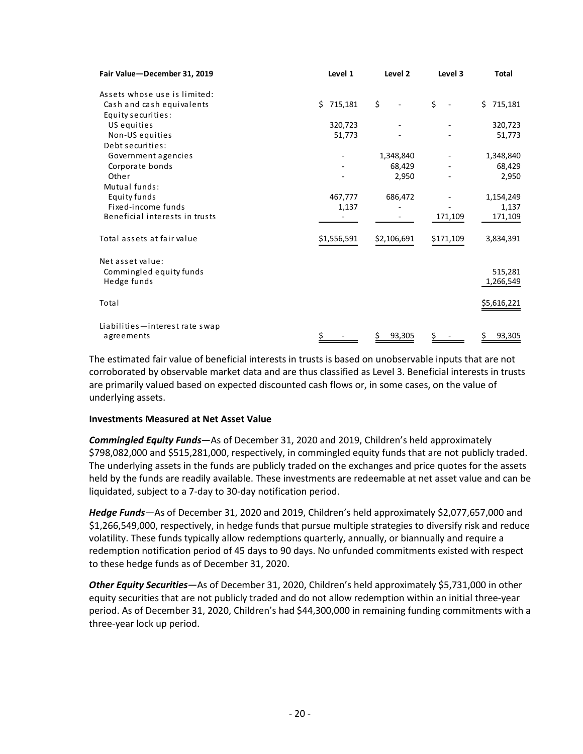| Fair Value-December 31, 2019     | Level 1     | Level 2     | Level 3   | <b>Total</b>  |
|----------------------------------|-------------|-------------|-----------|---------------|
| Assets whose use is limited:     |             |             |           |               |
| Cash and cash equivalents        | \$715,181   | \$          | \$        | \$<br>715,181 |
| Equity securities:               |             |             |           |               |
| US equities                      | 320,723     |             |           | 320,723       |
| Non-US equities                  | 51,773      |             |           | 51,773        |
| Debt securities:                 |             |             |           |               |
| Government agencies              |             | 1,348,840   |           | 1,348,840     |
| Corporate bonds                  |             | 68,429      |           | 68,429        |
| Other                            |             | 2,950       |           | 2,950         |
| Mutual funds:                    |             |             |           |               |
| Equity funds                     | 467,777     | 686,472     |           | 1,154,249     |
| Fixed-income funds               | 1,137       |             |           | 1,137         |
| Beneficial interests in trusts   |             |             | 171,109   | 171,109       |
| Total assets at fair value       | \$1,556,591 | \$2,106,691 | \$171,109 | 3,834,391     |
| Net asset value:                 |             |             |           |               |
| Commingled equity funds          |             |             |           | 515,281       |
| Hedge funds                      |             |             |           | 1,266,549     |
| Total                            |             |             |           | \$5,616,221   |
| Liabilities - interest rate swap |             |             |           |               |
| agreements                       |             | 93,305      |           | 93,305        |

The estimated fair value of beneficial interests in trusts is based on unobservable inputs that are not corroborated by observable market data and are thus classified as Level 3. Beneficial interests in trusts are primarily valued based on expected discounted cash flows or, in some cases, on the value of underlying assets.

#### **Investments Measured at Net Asset Value**

*Commingled Equity Funds*—As of December 31, 2020 and 2019, Children's held approximately \$798,082,000 and \$515,281,000, respectively, in commingled equity funds that are not publicly traded. The underlying assets in the funds are publicly traded on the exchanges and price quotes for the assets held by the funds are readily available. These investments are redeemable at net asset value and can be liquidated, subject to a 7-day to 30-day notification period.

*Hedge Funds*—As of December 31, 2020 and 2019, Children's held approximately \$2,077,657,000 and \$1,266,549,000, respectively, in hedge funds that pursue multiple strategies to diversify risk and reduce volatility. These funds typically allow redemptions quarterly, annually, or biannually and require a redemption notification period of 45 days to 90 days. No unfunded commitments existed with respect to these hedge funds as of December 31, 2020.

*Other Equity Securities*—As of December 31, 2020, Children's held approximately \$5,731,000 in other equity securities that are not publicly traded and do not allow redemption within an initial three-year period. As of December 31, 2020, Children's had \$44,300,000 in remaining funding commitments with a three-year lock up period.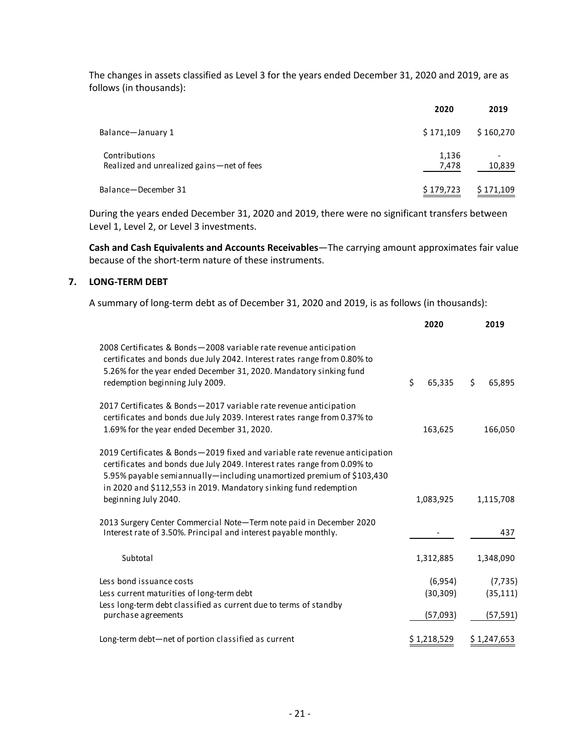The changes in assets classified as Level 3 for the years ended December 31, 2020 and 2019, are as follows (in thousands):

|                                                              | 2020           | 2019      |
|--------------------------------------------------------------|----------------|-----------|
| Balance-January 1                                            | \$171,109      | \$160,270 |
| Contributions<br>Realized and unrealized gains – net of fees | 1,136<br>7,478 | 10,839    |
| Balance-December 31                                          | \$179,723      | \$171,109 |

During the years ended December 31, 2020 and 2019, there were no significant transfers between Level 1, Level 2, or Level 3 investments.

**Cash and Cash Equivalents and Accounts Receivables**—The carrying amount approximates fair value because of the short-term nature of these instruments.

#### **7. LONG-TERM DEBT**

A summary of long-term debt as of December 31, 2020 and 2019, is as follows (in thousands):

|                                                                                                                                                                                                                                                                                                                              | 2020                             | 2019                               |
|------------------------------------------------------------------------------------------------------------------------------------------------------------------------------------------------------------------------------------------------------------------------------------------------------------------------------|----------------------------------|------------------------------------|
| 2008 Certificates & Bonds-2008 variable rate revenue anticipation<br>certificates and bonds due July 2042. Interest rates range from 0.80% to<br>5.26% for the year ended December 31, 2020. Mandatory sinking fund<br>redemption beginning July 2009.                                                                       | \$<br>65,335                     | \$<br>65,895                       |
| 2017 Certificates & Bonds-2017 variable rate revenue anticipation<br>certificates and bonds due July 2039. Interest rates range from 0.37% to<br>1.69% for the year ended December 31, 2020.                                                                                                                                 | 163,625                          | 166,050                            |
| 2019 Certificates & Bonds-2019 fixed and variable rate revenue anticipation<br>certificates and bonds due July 2049. Interest rates range from 0.09% to<br>5.95% payable semiannually-including unamortized premium of \$103,430<br>in 2020 and \$112,553 in 2019. Mandatory sinking fund redemption<br>beginning July 2040. | 1,083,925                        | 1,115,708                          |
| 2013 Surgery Center Commercial Note-Term note paid in December 2020<br>Interest rate of 3.50%. Principal and interest payable monthly.                                                                                                                                                                                       |                                  | 437                                |
| Subtotal                                                                                                                                                                                                                                                                                                                     | 1,312,885                        | 1,348,090                          |
| Less bond issuance costs<br>Less current maturities of long-term debt<br>Less long-term debt classified as current due to terms of standby<br>purchase agreements                                                                                                                                                            | (6,954)<br>(30, 309)<br>(57,093) | (7, 735)<br>(35, 111)<br>(57, 591) |
| Long-term debt-net of portion classified as current                                                                                                                                                                                                                                                                          | \$1,218,529                      | \$1,247,653                        |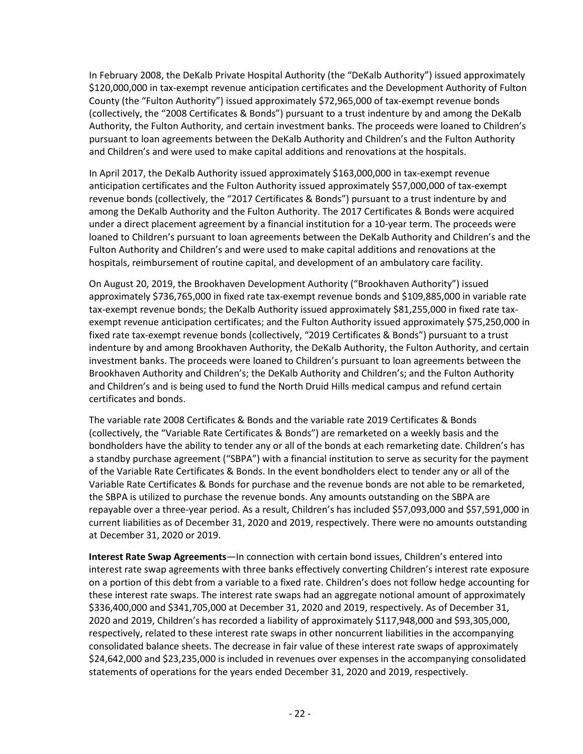In February 2008, the DeKalb Private Hospital Authority (the "DeKalb Authority") issued approximately \$120,000,000 in tax-exempt revenue anticipation certificates and the Development Authority of Fulton County (the "Fulton Authority") issued approximately \$72,965,000 of tax-exempt revenue bonds (collectively, the "2008 Certificates & Bonds") pursuant to a trust indenture by and among the DeKalb Authority, the Fulton Authority, and certain investment banks. The proceeds were loaned to Children's pursuant to loan agreements between the DeKalb Authority and Children's and the Fulton Authority and Children's and were used to make capital additions and renovations at the hospitals.

In April 2017, the DeKalb Authority issued approximately \$163,000,000 in tax-exempt revenue anticipation certificates and the Fulton Authority issued approximately \$57,000,000 of tax-exempt revenue bonds (collectively, the "2017 Certificates & Bonds") pursuant to a trust indenture by and among the DeKalb Authority and the Fulton Authority. The 2017 Certificates & Bonds were acquired under a direct placement agreement by a financial institution for a 10-year term. The proceeds were loaned to Children's pursuant to loan agreements between the DeKalb Authority and Children's and the Fulton Authority and Children's and were used to make capital additions and renovations at the hospitals, reimbursement of routine capital, and development of an ambulatory care facility.

On August 20, 2019, the Brookhaven Development Authority ("Brookhaven Authority") issued approximately \$736,765,000 in fixed rate tax-exempt revenue bonds and \$109,885,000 in variable rate tax-exempt revenue bonds; the DeKalb Authority issued approximately \$81,255,000 in fixed rate taxexempt revenue anticipation certificates; and the Fulton Authority issued approximately \$75,250,000 in fixed rate tax-exempt revenue bonds (collectively, "2019 Certificates & Bonds") pursuant to a trust indenture by and among Brookhaven Authority, the DeKalb Authority, the Fulton Authority, and certain investment banks. The proceeds were loaned to Children's pursuant to loan agreements between the Brookhaven Authority and Children's; the DeKalb Authority and Children's; and the Fulton Authority and Children's and is being used to fund the North Druid Hills medical campus and refund certain certificates and bonds.

The variable rate 2008 Certificates & Bonds and the variable rate 2019 Certificates & Bonds (collectively, the "Variable Rate Certificates & Bonds") are remarketed on a weekly basis and the bondholders have the ability to tender any or all of the bonds at each remarketing date. Children's has a standby purchase agreement ("SBPA") with a financial institution to serve as security for the payment of the Variable Rate Certificates & Bonds. In the event bondholders elect to tender any or all of the Variable Rate Certificates & Bonds for purchase and the revenue bonds are not able to be remarketed, the SBPA is utilized to purchase the revenue bonds. Any amounts outstanding on the SBPA are repayable over a three-year period. As a result, Children's has included \$57,093,000 and \$57,591,000 in current liabilities as of December 31, 2020 and 2019, respectively. There were no amounts outstanding at December 31, 2020 or 2019.

**Interest Rate Swap Agreements**—In connection with certain bond issues, Children's entered into interest rate swap agreements with three banks effectively converting Children's interest rate exposure on a portion of this debt from a variable to a fixed rate. Children's does not follow hedge accounting for these interest rate swaps. The interest rate swaps had an aggregate notional amount of approximately \$336,400,000 and \$341,705,000 at December 31, 2020 and 2019, respectively. As of December 31, 2020 and 2019, Children's has recorded a liability of approximately \$117,948,000 and \$93,305,000, respectively, related to these interest rate swaps in other noncurrent liabilities in the accompanying consolidated balance sheets. The decrease in fair value of these interest rate swaps of approximately \$24,642,000 and \$23,235,000 is included in revenues over expenses in the accompanying consolidated statements of operations for the years ended December 31, 2020 and 2019, respectively.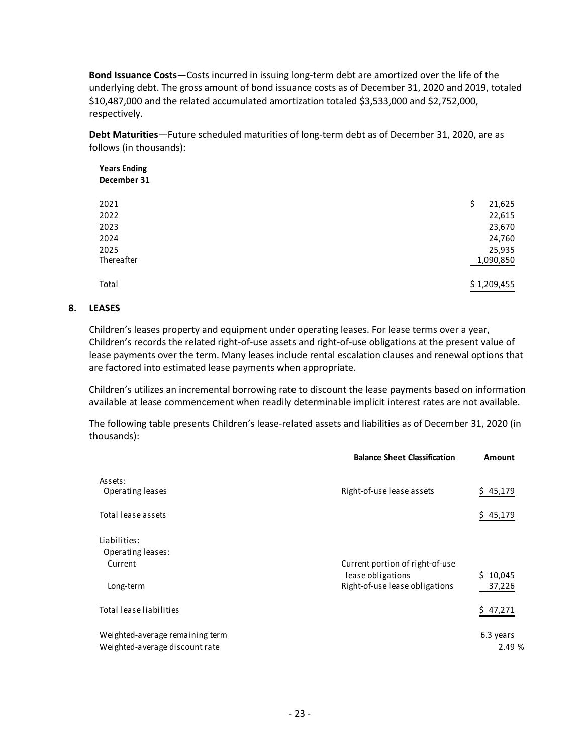**Bond Issuance Costs**—Costs incurred in issuing long-term debt are amortized over the life of the underlying debt. The gross amount of bond issuance costs as of December 31, 2020 and 2019, totaled \$10,487,000 and the related accumulated amortization totaled \$3,533,000 and \$2,752,000, respectively.

**Debt Maturities**—Future scheduled maturities of long-term debt as of December 31, 2020, are as follows (in thousands):

| <b>Years Ending</b> |              |
|---------------------|--------------|
| December 31         |              |
| 2021                | 21,625<br>\$ |
| 2022                | 22,615       |
| 2023                | 23,670       |
| 2024                | 24,760       |
| 2025                | 25,935       |
| Thereafter          | 1,090,850    |
| Total               | \$1,209,455  |

#### **8. LEASES**

Children's leases property and equipment under operating leases. For lease terms over a year, Children's records the related right-of-use assets and right-of-use obligations at the present value of lease payments over the term. Many leases include rental escalation clauses and renewal options that are factored into estimated lease payments when appropriate.

Children's utilizes an incremental borrowing rate to discount the lease payments based on information available at lease commencement when readily determinable implicit interest rates are not available.

The following table presents Children's lease-related assets and liabilities as of December 31, 2020 (in thousands):

|                                                                   | <b>Balance Sheet Classification</b>                 | Amount              |
|-------------------------------------------------------------------|-----------------------------------------------------|---------------------|
| Assets:<br>Operating leases                                       | Right-of-use lease assets                           | \$45,179            |
| Total lease assets                                                |                                                     | 45,179              |
| Liabilities:<br>Operating leases:<br>Current                      | Current portion of right-of-use                     |                     |
| Long-term                                                         | lease obligations<br>Right-of-use lease obligations | \$10,045<br>37,226  |
| Total lease liabilities                                           |                                                     | 47,271              |
| Weighted-average remaining term<br>Weighted-average discount rate |                                                     | 6.3 years<br>2.49 % |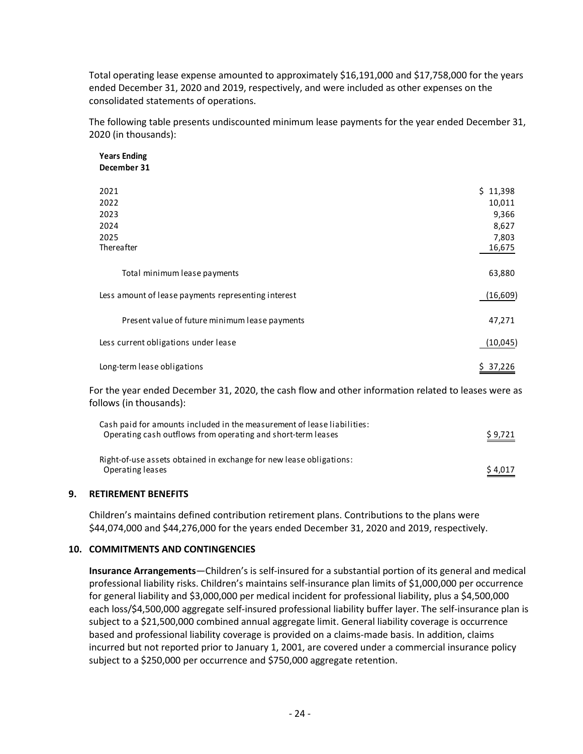Total operating lease expense amounted to approximately \$16,191,000 and \$17,758,000 for the years ended December 31, 2020 and 2019, respectively, and were included as other expenses on the consolidated statements of operations.

The following table presents undiscounted minimum lease payments for the year ended December 31, 2020 (in thousands):

**Years Ending December 31**

| 2021                                                | \$11,398  |
|-----------------------------------------------------|-----------|
| 2022                                                | 10,011    |
| 2023                                                | 9,366     |
| 2024                                                | 8,627     |
| 2025                                                | 7,803     |
| Thereafter                                          | 16,675    |
|                                                     |           |
| Total minimum lease payments                        | 63,880    |
| Less amount of lease payments representing interest | (16, 609) |
|                                                     |           |
| Present value of future minimum lease payments      | 47,271    |
| Less current obligations under lease                | (10, 045) |
|                                                     |           |
| Long-term lease obligations                         | \$37,226  |

For the year ended December 31, 2020, the cash flow and other information related to leases were as follows (in thousands):

| Cash paid for amounts included in the measurement of lease liabilities:<br>Operating cash outflows from operating and short-term leases | \$9,721 |
|-----------------------------------------------------------------------------------------------------------------------------------------|---------|
| Right-of-use assets obtained in exchange for new lease obligations:<br>Operating leases                                                 | \$4,017 |

#### **9. RETIREMENT BENEFITS**

Children's maintains defined contribution retirement plans. Contributions to the plans were \$44,074,000 and \$44,276,000 for the years ended December 31, 2020 and 2019, respectively.

#### **10. COMMITMENTS AND CONTINGENCIES**

**Insurance Arrangements**—Children's is self-insured for a substantial portion of its general and medical professional liability risks. Children's maintains self-insurance plan limits of \$1,000,000 per occurrence for general liability and \$3,000,000 per medical incident for professional liability, plus a \$4,500,000 each loss/\$4,500,000 aggregate self-insured professional liability buffer layer. The self-insurance plan is subject to a \$21,500,000 combined annual aggregate limit. General liability coverage is occurrence based and professional liability coverage is provided on a claims-made basis. In addition, claims incurred but not reported prior to January 1, 2001, are covered under a commercial insurance policy subject to a \$250,000 per occurrence and \$750,000 aggregate retention.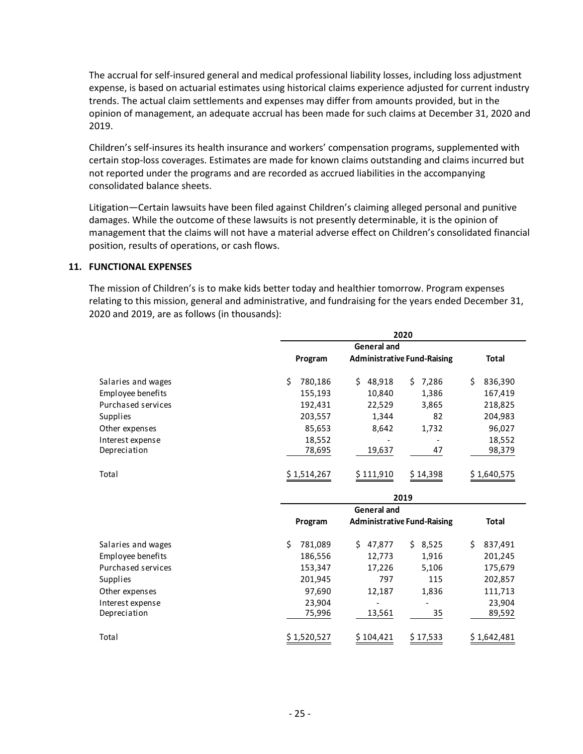The accrual for self-insured general and medical professional liability losses, including loss adjustment expense, is based on actuarial estimates using historical claims experience adjusted for current industry trends. The actual claim settlements and expenses may differ from amounts provided, but in the opinion of management, an adequate accrual has been made for such claims at December 31, 2020 and 2019.

Children's self-insures its health insurance and workers' compensation programs, supplemented with certain stop-loss coverages. Estimates are made for known claims outstanding and claims incurred but not reported under the programs and are recorded as accrued liabilities in the accompanying consolidated balance sheets.

Litigation—Certain lawsuits have been filed against Children's claiming alleged personal and punitive damages. While the outcome of these lawsuits is not presently determinable, it is the opinion of management that the claims will not have a material adverse effect on Children's consolidated financial position, results of operations, or cash flows.

#### **11. FUNCTIONAL EXPENSES**

The mission of Children's is to make kids better today and healthier tomorrow. Program expenses relating to this mission, general and administrative, and fundraising for the years ended December 31, 2020 and 2019, are as follows (in thousands):

|                    | 2020 |                    |                    |                                    |     |                 |              |              |  |
|--------------------|------|--------------------|--------------------|------------------------------------|-----|-----------------|--------------|--------------|--|
|                    |      | <b>General and</b> |                    |                                    |     |                 |              |              |  |
|                    |      | Program            |                    | <b>Administrative Fund-Raising</b> |     |                 | <b>Total</b> |              |  |
| Salaries and wages | \$   | 780,186            | \$.                | 48,918                             | \$. | 7,286           | \$           | 836,390      |  |
| Employee benefits  |      | 155,193            |                    | 10,840                             |     | 1,386           |              | 167,419      |  |
| Purchased services |      | 192,431            |                    | 22,529                             |     | 3,865           |              | 218,825      |  |
| Supplies           |      | 203,557            | 1,344              |                                    | 82  |                 |              | 204,983      |  |
| Other expenses     |      | 85,653             |                    | 8,642                              |     | 1,732           |              | 96,027       |  |
| Interest expense   |      | 18,552             |                    |                                    |     |                 |              | 18,552       |  |
| Depreciation       |      | 78,695             |                    | 19,637                             |     | 47              |              | 98,379       |  |
| Total              |      | \$1,514,267        |                    | \$111,910                          |     | \$14,398        |              | \$1,640,575  |  |
|                    |      | 2019               |                    |                                    |     |                 |              |              |  |
|                    |      |                    | <b>General and</b> |                                    |     |                 |              |              |  |
|                    |      | Program            |                    | <b>Administrative Fund-Raising</b> |     |                 |              | <b>Total</b> |  |
| Salaries and wages | \$   | 781,089            | Ś.                 | 47,877                             | Ś.  | 8,525           | \$           | 837,491      |  |
| Employee benefits  |      | 186,556            |                    | 12,773                             |     | 1,916           |              | 201,245      |  |
| Purchased services |      | 153,347            |                    | 17,226                             |     | 5,106           |              | 175,679      |  |
| Supplies           |      | 201,945            |                    | 797                                |     | 115             |              | 202,857      |  |
| Other expenses     |      | 97,690             |                    | 12,187                             |     | 1,836           |              | 111,713      |  |
| Interest expense   |      | 23,904             |                    |                                    |     |                 |              | 23,904       |  |
| Depreciation       |      | 75,996             |                    | 13,561                             |     | 35              |              | 89,592       |  |
| Total              |      | \$1,520,527        | \$ 104,421         |                                    |     | <u>\$17,533</u> | \$1,642,481  |              |  |